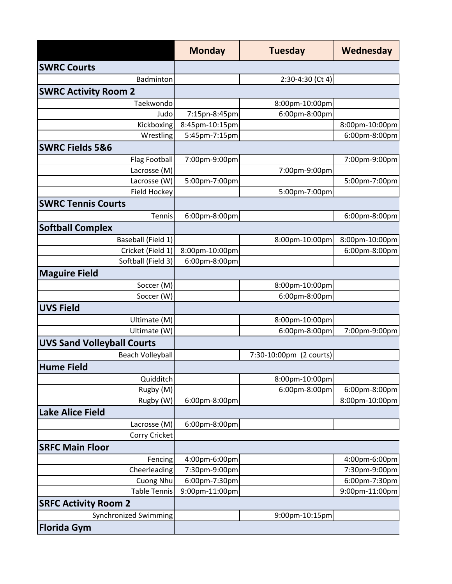|                                   | <b>Monday</b>  | <b>Tuesday</b>          | Wednesday      |
|-----------------------------------|----------------|-------------------------|----------------|
| <b>SWRC Courts</b>                |                |                         |                |
| Badminton                         |                | 2:30-4:30 (Ct 4)        |                |
| <b>SWRC Activity Room 2</b>       |                |                         |                |
| Taekwondo                         |                | 8:00pm-10:00pm          |                |
| Judo                              | 7:15pn-8:45pm  | 6:00pm-8:00pm           |                |
| Kickboxing                        | 8:45pm-10:15pm |                         | 8:00pm-10:00pm |
| Wrestling                         | 5:45pm-7:15pm  |                         | 6:00pm-8:00pm  |
| <b>SWRC Fields 5&amp;6</b>        |                |                         |                |
| <b>Flag Football</b>              | 7:00pm-9:00pm  |                         | 7:00pm-9:00pm  |
| Lacrosse (M)                      |                | 7:00pm-9:00pm           |                |
| Lacrosse (W)                      | 5:00pm-7:00pm  |                         | 5:00pm-7:00pm  |
| <b>Field Hockey</b>               |                | 5:00pm-7:00pm           |                |
| <b>SWRC Tennis Courts</b>         |                |                         |                |
| Tennis                            | 6:00pm-8:00pm  |                         | 6:00pm-8:00pm  |
| <b>Softball Complex</b>           |                |                         |                |
| Baseball (Field 1)                |                | 8:00pm-10:00pm          | 8:00pm-10:00pm |
| Cricket (Field 1)                 | 8:00pm-10:00pm |                         | 6:00pm-8:00pm  |
| Softball (Field 3)                | 6:00pm-8:00pm  |                         |                |
| <b>Maguire Field</b>              |                |                         |                |
| Soccer (M)                        |                | 8:00pm-10:00pm          |                |
| Soccer (W)                        |                | 6:00pm-8:00pm           |                |
| <b>UVS Field</b>                  |                |                         |                |
| Ultimate (M)                      |                | 8:00pm-10:00pm          |                |
| Ultimate (W)                      |                | 6:00pm-8:00pm           | 7:00pm-9:00pm  |
| <b>UVS Sand Volleyball Courts</b> |                |                         |                |
| <b>Beach Volleyball</b>           |                | 7:30-10:00pm (2 courts) |                |
| <b>Hume Field</b>                 |                |                         |                |
| Quidditch                         |                | 8:00pm-10:00pm          |                |
| Rugby (M)                         |                | 6:00pm-8:00pm           | 6:00pm-8:00pm  |
| Rugby (W)                         | 6:00pm-8:00pm  |                         | 8:00pm-10:00pm |
| <b>Lake Alice Field</b>           |                |                         |                |
| Lacrosse (M)                      | 6:00pm-8:00pm  |                         |                |
| Corry Cricket                     |                |                         |                |
| <b>SRFC Main Floor</b>            |                |                         |                |
| Fencing                           | 4:00pm-6:00pm  |                         | 4:00pm-6:00pm  |
| Cheerleading                      | 7:30pm-9:00pm  |                         | 7:30pm-9:00pm  |
| Cuong Nhu                         | 6:00pm-7:30pm  |                         | 6:00pm-7:30pm  |
| <b>Table Tennis</b>               | 9:00pm-11:00pm |                         | 9:00pm-11:00pm |
| <b>SRFC Activity Room 2</b>       |                |                         |                |
| <b>Synchronized Swimming</b>      |                | 9:00pm-10:15pm          |                |
| <b>Florida Gym</b>                |                |                         |                |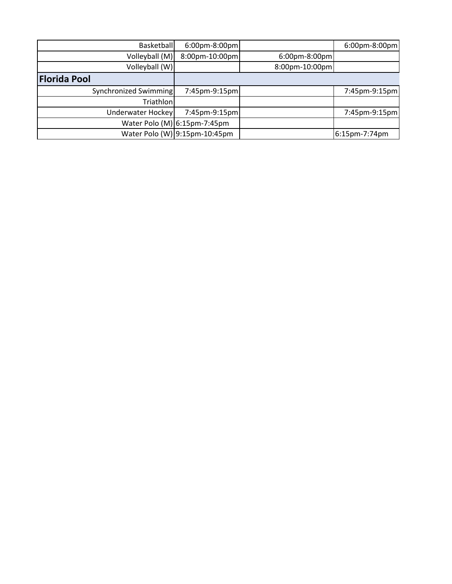| <b>Basketball</b><br>6:00pm-8:00pm |                                 | 6:00pm-8:00pm                   |
|------------------------------------|---------------------------------|---------------------------------|
| Volleyball (M)                     |                                 |                                 |
| Volleyball (W)                     |                                 |                                 |
|                                    |                                 |                                 |
| Synchronized Swimming              |                                 | 7:45pm-9:15pm                   |
| Triathlon                          |                                 |                                 |
| Underwater Hockey<br>7:45pm-9:15pm |                                 | 7:45pm-9:15pm                   |
| Water Polo (M) 6:15pm-7:45pm       |                                 |                                 |
| Water Polo (W) 9:15pm-10:45pm      |                                 | 6:15pm-7:74pm                   |
|                                    | 8:00pm-10:00pm<br>7:45pm-9:15pm | 6:00pm-8:00pm<br>8:00pm-10:00pm |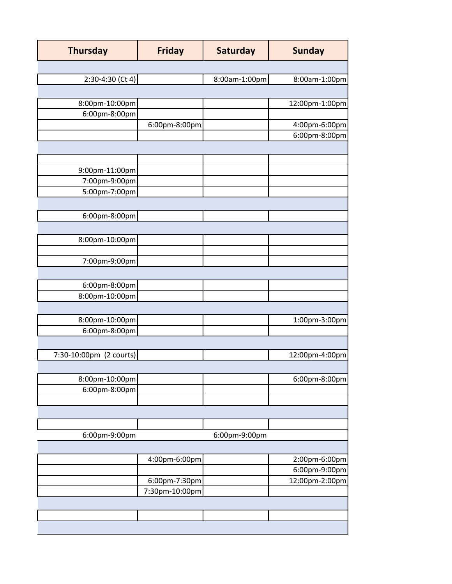| <b>Thursday</b>         | <b>Friday</b>  | <b>Saturday</b> | <b>Sunday</b>  |
|-------------------------|----------------|-----------------|----------------|
|                         |                |                 |                |
| $2:30-4:30$ (Ct 4)      |                | 8:00am-1:00pm   | 8:00am-1:00pm  |
|                         |                |                 |                |
| 8:00pm-10:00pm          |                |                 | 12:00pm-1:00pm |
| 6:00pm-8:00pm           |                |                 |                |
|                         | 6:00pm-8:00pm  |                 | 4:00pm-6:00pm  |
|                         |                |                 | 6:00pm-8:00pm  |
|                         |                |                 |                |
|                         |                |                 |                |
| 9:00pm-11:00pm          |                |                 |                |
| 7:00pm-9:00pm           |                |                 |                |
| 5:00pm-7:00pm           |                |                 |                |
|                         |                |                 |                |
| 6:00pm-8:00pm           |                |                 |                |
|                         |                |                 |                |
| 8:00pm-10:00pm          |                |                 |                |
|                         |                |                 |                |
| 7:00pm-9:00pm           |                |                 |                |
|                         |                |                 |                |
| 6:00pm-8:00pm           |                |                 |                |
| 8:00pm-10:00pm          |                |                 |                |
|                         |                |                 |                |
| 8:00pm-10:00pm          |                |                 | 1:00pm-3:00pm  |
| 6:00pm-8:00pm           |                |                 |                |
|                         |                |                 |                |
| 7:30-10:00pm (2 courts) |                |                 | 12:00pm-4:00pm |
|                         |                |                 |                |
| 8:00pm-10:00pm          |                |                 | 6:00pm-8:00pm  |
| 6:00pm-8:00pm           |                |                 |                |
|                         |                |                 |                |
|                         |                |                 |                |
|                         |                |                 |                |
| 6:00pm-9:00pm           |                | 6:00pm-9:00pm   |                |
|                         |                |                 |                |
|                         | 4:00pm-6:00pm  |                 | 2:00pm-6:00pm  |
|                         |                |                 | 6:00pm-9:00pm  |
|                         | 6:00pm-7:30pm  |                 | 12:00pm-2:00pm |
|                         | 7:30pm-10:00pm |                 |                |
|                         |                |                 |                |
|                         |                |                 |                |
|                         |                |                 |                |